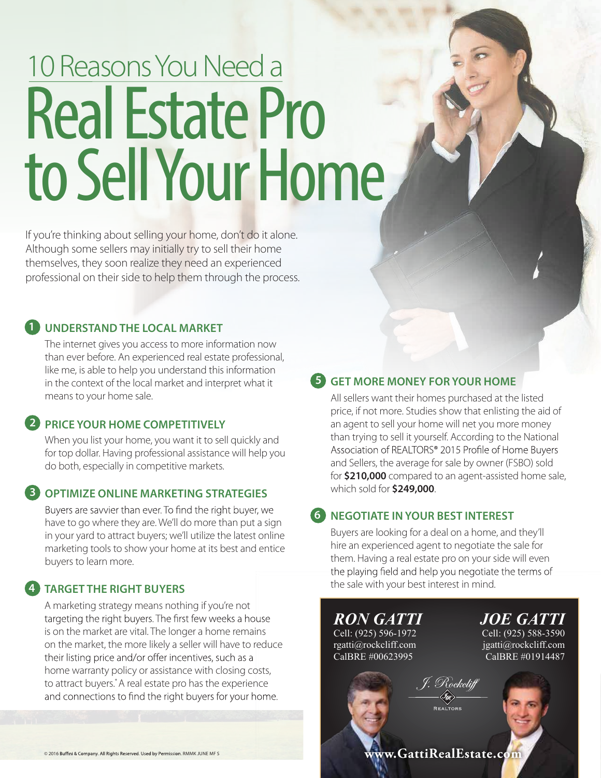# 10 Reasons You Need a **Real Estate Pro** to Sell Your Home

If you're thinking about selling your home, don't do it alone. Although some sellers may initially try to sell their home themselves, they soon realize they need an experienced professional on their side to help them through the process.

# **1 UNDERSTANDTHE LOCAL MARKET**

The internet gives you access to more information now than ever before. An experienced real estate professional, like me, is able to help you understand this information in the context of the local market and interpret what it means to your home sale.

### **2 PRICE YOUR HOME COMPETITIVELY**

When you list your home, you want it to sell quickly and for top dollar. Having professional assistance will help you do both, especially in competitive markets.

#### **3 OPTIMIZE ONLINE MARKETING STRATEGIES**

Buyers are savvier than ever. To find the right buyer, we have to go where they are. We'll do more than put <sup>a</sup> sign in your yard to attract buyers; we'll utilize the latest online marketing tools to show your home at its best and entice buyers to learn more.

#### **4TARGET THE RIGHT BUYERS**

A marketing strategy means nothing if you're not targeting the right buyers. The first few weeks a house is on the market are vital. The longer a home remains on the market, the more likely a seller will have to reduce their listing price and/or offer incentives, such as a home warranty policy or assistance with closing costs, to attract buyers. \*A real estate pro has the experience and connections to find the right buyers for your home.

# **5 GET MORE MONEY FOR YOUR HOME**

All sellers want their homes purchased at the listed price, if not more. Studies show that enlisting the aid of an agent to sell your home will net you more money than trying to sell it yourself. According to the National Association of REALTORS® 2015 Profile of Home Buyers and Sellers, the average for sale by owner (FSBO) sold for **\$210,000** compared to an agent-assisted home sale, which sold for **\$249,000**.

# **6 NEGOTIATE INYOUR BEST INTEREST**

Buyers are looking for a deal on <sup>a</sup> home, and they'll hire an experienced agent to negotiate the sale for them. Having a real estate pro on your side will even the playing field and help you negotiate the terms of the sale with your best interest in mind.

*RON GATTI* Cell: (925) 596-1972 rgatti@rockcliff.com CalBRE #00623995

*JOE GATTI* Cell: (925) 588-3590

jgatti@rockcliff.com CalBRE #01914487

Rockeliff

© 2016 Buffini & Company. All Rights Reserved. Used by Permission. RMMK JUNE MF S